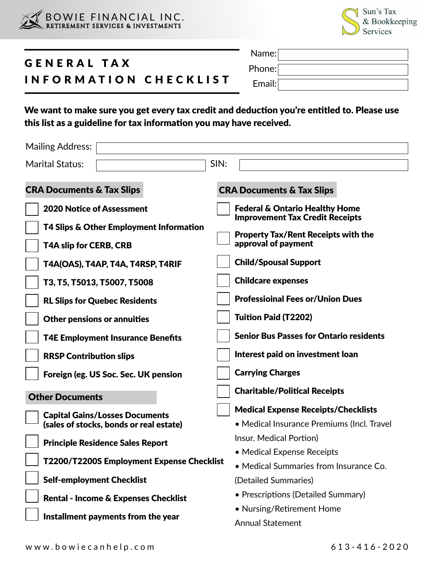



## GENERAL TAX INFORMATION CHECKLIST Name: Phone: Email:

We want to make sure you get every tax credit and deduction you're entitled to. Please use this list as a guideline for tax information you may have received.

| <b>Mailing Address:</b>                                                                                                                                                                                                                                                                                    |                                                                                                                                                                                                                                                                                                                                                                                       |
|------------------------------------------------------------------------------------------------------------------------------------------------------------------------------------------------------------------------------------------------------------------------------------------------------------|---------------------------------------------------------------------------------------------------------------------------------------------------------------------------------------------------------------------------------------------------------------------------------------------------------------------------------------------------------------------------------------|
| <b>Marital Status:</b>                                                                                                                                                                                                                                                                                     | SIN:                                                                                                                                                                                                                                                                                                                                                                                  |
| <b>CRA Documents &amp; Tax Slips</b>                                                                                                                                                                                                                                                                       | <b>CRA Documents &amp; Tax Slips</b>                                                                                                                                                                                                                                                                                                                                                  |
| <b>2020 Notice of Assessment</b><br>T4 Slips & Other Employment Information<br><b>T4A slip for CERB, CRB</b><br>T4A(OAS), T4AP, T4A, T4RSP, T4RIF<br>T3, T5, T5013, T5007, T5008<br><b>RL Slips for Quebec Residents</b><br><b>Other pensions or annuities</b><br><b>T4E Employment Insurance Benefits</b> | <b>Federal &amp; Ontario Healthy Home</b><br><b>Improvement Tax Credit Receipts</b><br><b>Property Tax/Rent Receipts with the</b><br>approval of payment<br><b>Child/Spousal Support</b><br><b>Childcare expenses</b><br><b>Professioinal Fees or/Union Dues</b><br><b>Tuition Paid (T2202)</b><br><b>Senior Bus Passes for Ontario residents</b><br>Interest paid on investment loan |
| <b>RRSP Contribution slips</b><br>Foreign (eg. US Soc. Sec. UK pension                                                                                                                                                                                                                                     | <b>Carrying Charges</b>                                                                                                                                                                                                                                                                                                                                                               |
| <b>Other Documents</b>                                                                                                                                                                                                                                                                                     | <b>Charitable/Political Receipts</b>                                                                                                                                                                                                                                                                                                                                                  |
| <b>Capital Gains/Losses Documents</b><br>(sales of stocks, bonds or real estate)                                                                                                                                                                                                                           | <b>Medical Expense Receipts/Checklists</b><br>• Medical Insurance Premiums (Incl. Travel<br>Insur. Medical Portion)                                                                                                                                                                                                                                                                   |
| <b>Principle Residence Sales Report</b>                                                                                                                                                                                                                                                                    | • Medical Expense Receipts                                                                                                                                                                                                                                                                                                                                                            |
| T2200/T2200S Employment Expense Checklist<br><b>Self-employment Checklist</b>                                                                                                                                                                                                                              | • Medical Summaries from Insurance Co.<br>(Detailed Summaries)                                                                                                                                                                                                                                                                                                                        |
| <b>Rental - Income &amp; Expenses Checklist</b><br>Installment payments from the year                                                                                                                                                                                                                      | • Prescriptions (Detailed Summary)<br>• Nursing/Retirement Home<br><b>Annual Statement</b>                                                                                                                                                                                                                                                                                            |